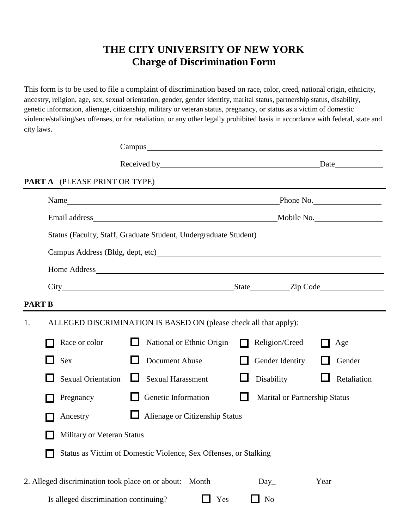## **THE CITY UNIVERSITY OF NEW YORK Charge of Discrimination Form**

This form is to be used to file a complaint of discrimination based on race, color, creed, national origin, ethnicity, ancestry, religion, age, sex, sexual orientation, gender, gender identity, marital status, partnership status, disability, genetic information, alienage, citizenship, military or veteran status, pregnancy, or status as a victim of domestic violence/stalking/sex offenses, or for retaliation, or any other legally prohibited basis in accordance with federal, state and city laws.

|               |                                       |                                                                   | Campus experience and the contract of the contract of the contract of the contract of the contract of the contract of the contract of the contract of the contract of the contract of the contract of the contract of the cont |
|---------------|---------------------------------------|-------------------------------------------------------------------|--------------------------------------------------------------------------------------------------------------------------------------------------------------------------------------------------------------------------------|
|               |                                       |                                                                   |                                                                                                                                                                                                                                |
|               | <b>PART A</b> (PLEASE PRINT OR TYPE)  |                                                                   |                                                                                                                                                                                                                                |
|               |                                       |                                                                   |                                                                                                                                                                                                                                |
|               |                                       |                                                                   |                                                                                                                                                                                                                                |
|               |                                       |                                                                   | Status (Faculty, Staff, Graduate Student, Undergraduate Student)<br><u>Letter Augustin and Student</u>                                                                                                                         |
|               |                                       |                                                                   |                                                                                                                                                                                                                                |
|               |                                       |                                                                   |                                                                                                                                                                                                                                |
|               |                                       |                                                                   |                                                                                                                                                                                                                                |
| <b>PART B</b> |                                       |                                                                   |                                                                                                                                                                                                                                |
| 1.            |                                       | ALLEGED DISCRIMINATION IS BASED ON (please check all that apply): |                                                                                                                                                                                                                                |
|               | Race or color                         | National or Ethnic Origin                                         | Religion/Creed<br>Age<br>$\Box$                                                                                                                                                                                                |
|               | Sex                                   | Document Abuse                                                    | Gender Identity<br>Gender                                                                                                                                                                                                      |
|               | <b>Sexual Orientation</b>             | <b>Sexual Harassment</b>                                          | Disability<br>Retaliation                                                                                                                                                                                                      |
|               | Pregnancy                             | Genetic Information                                               | <b>Marital or Partnership Status</b>                                                                                                                                                                                           |
|               | Ancestry                              | Alienage or Citizenship Status                                    |                                                                                                                                                                                                                                |
|               | Military or Veteran Status            |                                                                   |                                                                                                                                                                                                                                |
|               |                                       | Status as Victim of Domestic Violence, Sex Offenses, or Stalking  |                                                                                                                                                                                                                                |
|               |                                       |                                                                   |                                                                                                                                                                                                                                |
|               | Is alleged discrimination continuing? | Yes                                                               | $\Box$ No                                                                                                                                                                                                                      |